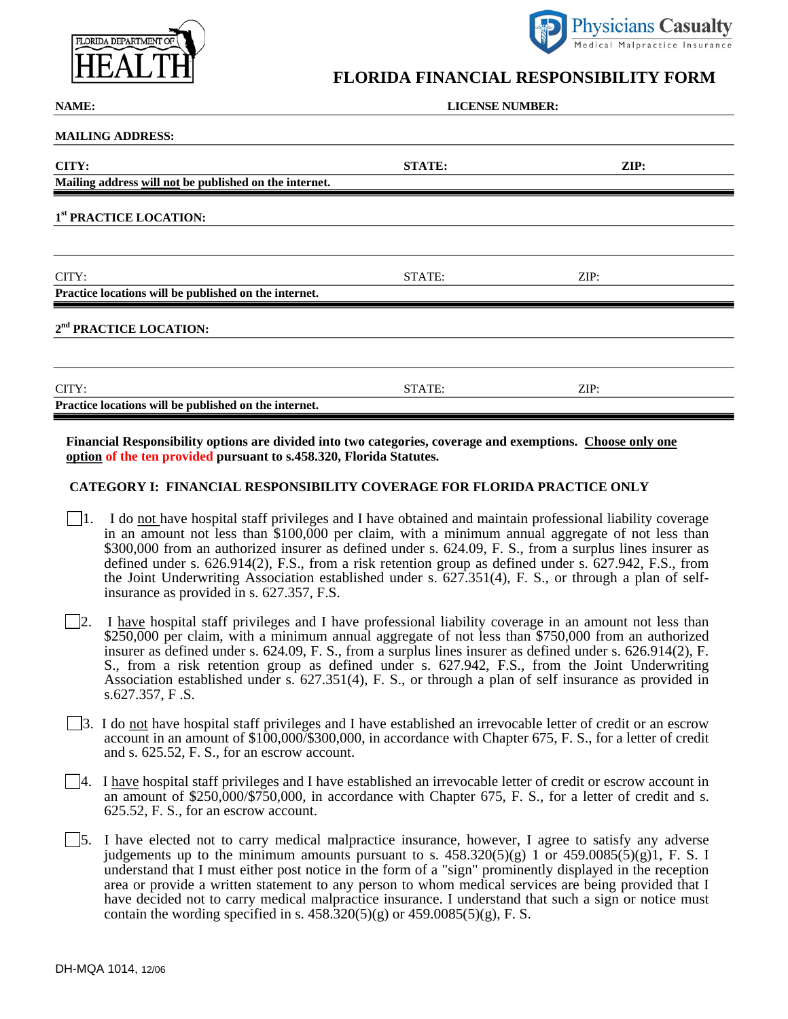



## **FLORIDA FINANCIAL RESPONSIBILITY FORM**

| NAME:                                                  | <b>LICENSE NUMBER:</b> |      |
|--------------------------------------------------------|------------------------|------|
| <b>MAILING ADDRESS:</b>                                |                        |      |
| CITY:                                                  | <b>STATE:</b>          | ZIP: |
| Mailing address will not be published on the internet. |                        |      |
| 1st PRACTICE LOCATION:                                 |                        |      |
|                                                        |                        |      |
| CITY:                                                  | STATE:                 | ZIP: |
| Practice locations will be published on the internet.  |                        |      |
| 2 <sup>nd</sup> PRACTICE LOCATION:                     |                        |      |
|                                                        |                        |      |
| CITY:                                                  | STATE:                 | ZIP: |
| Practice locations will be published on the internet.  |                        |      |

**Financial Responsibility options are divided into two categories, coverage and exemptions. Choose only one option of the ten provided pursuant to s.458.320, Florida Statutes.** 

## **CATEGORY I: FINANCIAL RESPONSIBILITY COVERAGE FOR FLORIDA PRACTICE ONLY**

- 1. I do not have hospital staff privileges and I have obtained and maintain professional liability coverage in an amount not less than \$100,000 per claim, with a minimum annual aggregate of not less than \$300,000 from an authorized insurer as defined under s. 624.09, F. S., from a surplus lines insurer as defined under s. 626.914(2), F.S., from a risk retention group as defined under s. 627.942, F.S., from the Joint Underwriting Association established under s. 627.351(4), F. S., or through a plan of selfinsurance as provided in s. 627.357, F.S.
- 2. I have hospital staff privileges and I have professional liability coverage in an amount not less than \$250,000 per claim, with a minimum annual aggregate of not less than \$750,000 from an authorized insurer as defined under s. 624.09, F. S., from a surplus lines insurer as defined under s. 626.914(2), F. S., from a risk retention group as defined under s. 627.942, F.S., from the Joint Underwriting Association established under s. 627.351(4), F. S., or through a plan of self insurance as provided in s.627.357, F .S.
- 3. I do not have hospital staff privileges and I have established an irrevocable letter of credit or an escrow account in an amount of \$100,000/\$300,000, in accordance with Chapter 675, F. S., for a letter of credit and s. 625.52, F. S., for an escrow account.
- 4. I have hospital staff privileges and I have established an irrevocable letter of credit or escrow account in an amount of \$250,000/\$750,000, in accordance with Chapter 675, F. S., for a letter of credit and s. 625.52, F. S., for an escrow account.
- 5. I have elected not to carry medical malpractice insurance, however, I agree to satisfy any adverse judgements up to the minimum amounts pursuant to s.  $458.320(5)(g) 1$  or  $459.0085(5)(g)1$ , F. S. I understand that I must either post notice in the form of a "sign" prominently displayed in the reception area or provide a written statement to any person to whom medical services are being provided that I have decided not to carry medical malpractice insurance. I understand that such a sign or notice must contain the wording specified in s.  $458.\overline{320(5)(g)}$  or  $459.0085(5)(g)$ , F. S.